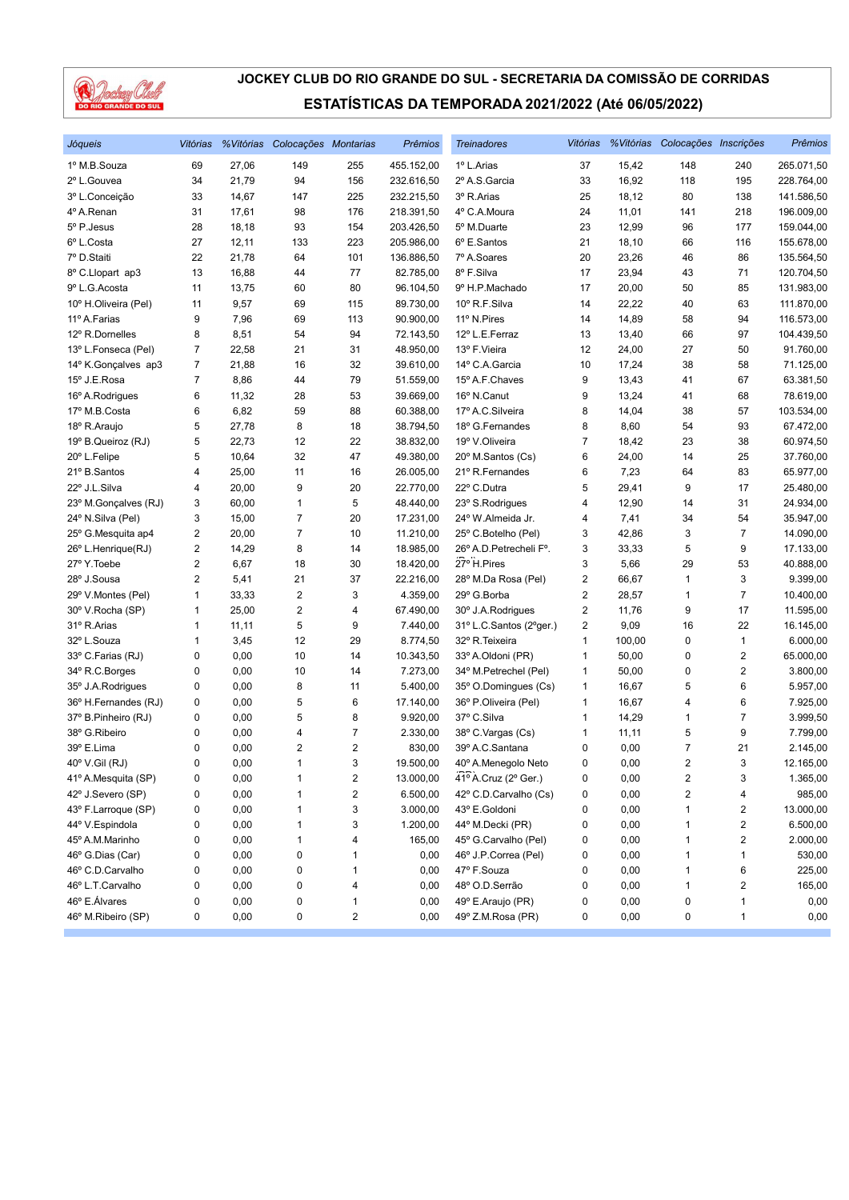

| Jóqueis              | Vitórias       |       | % Vitórias Colocações Montarias |                         | Prêmios    | <b>Treinadores</b>      | Vitórias                |        | %Vitórias Colocações Inscrições |                         | <b>Prêmios</b> |
|----------------------|----------------|-------|---------------------------------|-------------------------|------------|-------------------------|-------------------------|--------|---------------------------------|-------------------------|----------------|
| 1º M.B.Souza         | 69             | 27,06 | 149                             | 255                     | 455.152,00 | 1º L.Arias              | 37                      | 15,42  | 148                             | 240                     | 265.071,50     |
| 2º L.Gouvea          | 34             | 21,79 | 94                              | 156                     | 232.616,50 | 2º A.S.Garcia           | 33                      | 16,92  | 118                             | 195                     | 228.764,00     |
| 3º L.Conceição       | 33             | 14,67 | 147                             | 225                     | 232.215,50 | 3º R.Arias              | 25                      | 18,12  | 80                              | 138                     | 141.586,50     |
| 4º A.Renan           | 31             | 17,61 | 98                              | 176                     | 218.391,50 | 4° C.A.Moura            | 24                      | 11,01  | 141                             | 218                     | 196.009,00     |
| 5º P.Jesus           | 28             | 18,18 | 93                              | 154                     | 203.426,50 | 5º M.Duarte             | 23                      | 12,99  | 96                              | 177                     | 159.044,00     |
| 6º L.Costa           | 27             | 12,11 | 133                             | 223                     | 205.986,00 | 6º E.Santos             | 21                      | 18,10  | 66                              | 116                     | 155.678,00     |
| 7º D.Staiti          | 22             | 21,78 | 64                              | 101                     | 136.886,50 | 7º A.Soares             | 20                      | 23,26  | 46                              | 86                      | 135.564,50     |
| 8º C.Llopart ap3     | 13             | 16,88 | 44                              | 77                      | 82.785,00  | 8º F.Silva              | 17                      | 23,94  | 43                              | 71                      | 120.704,50     |
| 9º L.G.Acosta        | 11             | 13,75 | 60                              | 80                      | 96.104,50  | 9º H.P.Machado          | 17                      | 20,00  | 50                              | 85                      | 131.983,00     |
| 10° H.Oliveira (Pel) | 11             | 9,57  | 69                              | 115                     | 89.730,00  | 10° R.F.Silva           | 14                      | 22,22  | 40                              | 63                      | 111.870,00     |
| 11º A.Farias         | 9              | 7,96  | 69                              | 113                     | 90.900,00  | 11º N.Pires             | 14                      | 14,89  | 58                              | 94                      | 116.573,00     |
| 12º R.Dornelles      | 8              | 8,51  | 54                              | 94                      | 72.143,50  | 12º L.E.Ferraz          | 13                      | 13,40  | 66                              | 97                      | 104.439,50     |
| 13º L.Fonseca (Pel)  | 7              | 22,58 | 21                              | 31                      | 48.950,00  | 13º F.Vieira            | 12                      | 24,00  | 27                              | 50                      | 91.760,00      |
| 14º K.Gonçalves ap3  | 7              | 21,88 | 16                              | 32                      | 39.610,00  | 14° C.A.Garcia          | 10                      | 17,24  | 38                              | 58                      | 71.125,00      |
| 15º J.E.Rosa         | $\overline{7}$ | 8,86  | 44                              | 79                      | 51.559,00  | 15º A.F.Chaves          | 9                       | 13,43  | 41                              | 67                      | 63.381,50      |
| 16° A.Rodrigues      | 6              | 11,32 | 28                              | 53                      | 39.669,00  | 16° N.Canut             | 9                       | 13,24  | 41                              | 68                      | 78.619,00      |
| 17º M.B.Costa        | 6              | 6,82  | 59                              | 88                      | 60.388,00  | 17º A.C.Silveira        | 8                       | 14,04  | 38                              | 57                      | 103.534,00     |
| 18º R.Araujo         | 5              | 27,78 | 8                               | 18                      | 38.794,50  | 18º G.Fernandes         | 8                       | 8,60   | 54                              | 93                      | 67.472,00      |
| 19° B.Queiroz (RJ)   | 5              | 22,73 | 12                              | 22                      | 38.832,00  | 19º V.Oliveira          | 7                       | 18,42  | 23                              | 38                      | 60.974,50      |
| 20° L.Felipe         | 5              | 10,64 | 32                              | 47                      | 49.380,00  | 20° M.Santos (Cs)       | 6                       | 24,00  | 14                              | 25                      | 37.760,00      |
| 21º B.Santos         | 4              | 25,00 | 11                              | 16                      | 26.005,00  | 21º R.Fernandes         | 6                       | 7,23   | 64                              | 83                      | 65.977,00      |
| 22° J.L.Silva        | 4              | 20,00 | 9                               | 20                      | 22.770,00  | 22° C.Dutra             | 5                       | 29,41  | 9                               | 17                      | 25.480,00      |
| 23º M.Gonçalves (RJ) | 3              | 60,00 | 1                               | 5                       | 48.440,00  | 23° S.Rodrigues         | 4                       | 12,90  | 14                              | 31                      | 24.934,00      |
| 24º N.Silva (Pel)    | 3              | 15,00 | 7                               | 20                      | 17.231,00  | 24° W.Almeida Jr.       | 4                       | 7,41   | 34                              | 54                      | 35.947,00      |
| 25° G.Mesquita ap4   | 2              | 20,00 | $\overline{7}$                  | 10                      | 11.210,00  | 25° C.Botelho (Pel)     | 3                       | 42,86  | 3                               | $\overline{7}$          | 14.090,00      |
| 26° L.Henrique(RJ)   | 2              | 14,29 | 8                               | 14                      | 18.985,00  | 26° A.D. Petrecheli F°. | 3                       | 33,33  | 5                               | 9                       | 17.133,00      |
| 27º Y.Toebe          | 2              | 6,67  | 18                              | 30                      | 18.420,00  | 27° H.Pires             | 3                       | 5,66   | 29                              | 53                      | 40.888,00      |
| 28° J.Sousa          | 2              | 5,41  | 21                              | 37                      | 22.216,00  | 28º M.Da Rosa (Pel)     | 2                       | 66,67  | $\mathbf{1}$                    | 3                       | 9.399,00       |
| 29° V.Montes (Pel)   | 1              | 33,33 | $\overline{\mathbf{c}}$         | 3                       | 4.359,00   | 29° G.Borba             | $\overline{\mathbf{c}}$ | 28,57  | 1                               | $\overline{7}$          | 10.400,00      |
| 30° V.Rocha (SP)     | 1              | 25,00 | $\overline{\mathbf{c}}$         | 4                       | 67.490,00  | 30° J.A.Rodrigues       | 2                       | 11,76  | 9                               | 17                      | 11.595,00      |
| 31º R.Arias          | 1              | 11,11 | 5                               | 9                       | 7.440,00   | 31º L.C.Santos (2ºger.) | 2                       | 9,09   | 16                              | 22                      | 16.145,00      |
| 32º L.Souza          | 1              | 3,45  | 12                              | 29                      | 8.774,50   | 32º R. Teixeira         | 1                       | 100,00 | $\pmb{0}$                       | $\mathbf{1}$            | 6.000,00       |
| 33º C.Farias (RJ)    | 0              | 0,00  | 10                              | 14                      | 10.343,50  | 33º A.Oldoni (PR)       | 1                       | 50,00  | $\pmb{0}$                       | $\overline{\mathbf{c}}$ | 65.000,00      |
| 34º R.C.Borges       | 0              | 0,00  | 10                              | 14                      | 7.273,00   | 34° M.Petrechel (Pel)   | 1                       | 50,00  | 0                               | $\sqrt{2}$              | 3.800,00       |
| 35° J.A.Rodrigues    | 0              | 0,00  | 8                               | 11                      | 5.400,00   | 35° O.Domingues (Cs)    | 1                       | 16,67  | 5                               | 6                       | 5.957,00       |
| 36° H.Fernandes (RJ) | 0              | 0,00  | 5                               | 6                       | 17.140,00  | 36° P.Oliveira (Pel)    | 1                       | 16,67  | 4                               | 6                       | 7.925,00       |
| 37º B.Pinheiro (RJ)  | 0              | 0,00  | 5                               | 8                       | 9.920,00   | 37º C.Silva             | 1                       | 14,29  | 1                               | $\overline{7}$          | 3.999,50       |
| 38° G.Ribeiro        | 0              | 0,00  | 4                               | 7                       | 2.330,00   | 38° C. Vargas (Cs)      | 1                       | 11,11  | 5                               | 9                       | 7.799,00       |
| 39° E.Lima           | 0              | 0,00  | $\overline{2}$                  | 2                       | 830,00     | 39º A.C.Santana         | 0                       | 0,00   | 7                               | 21                      | 2.145,00       |
| 40° V.Gil (RJ)       | 0              | 0,00  | $\mathbf{1}$                    | 3                       | 19.500,00  | 40° A.Menegolo Neto     | 0                       | 0,00   | $\overline{2}$                  | 3                       | 12.165,00      |
| 41º A.Mesquita (SP)  | 0              | 0,00  | 1                               | $\overline{\mathbf{c}}$ | 13.000,00  | 41º A.Cruz (2º Ger.)    | 0                       | 0,00   | 2                               | 3                       | 1.365,00       |
| 42º J.Severo (SP)    | 0              | 0,00  | 1                               | $\overline{\mathbf{c}}$ | 6.500,00   | 42° C.D.Carvalho (Cs)   | 0                       | 0,00   | $\overline{\mathbf{c}}$         | 4                       | 985,00         |
| 43° F.Larroque (SP)  | 0              | 0,00  | 1                               | 3                       | 3.000,00   | 43° E.Goldoni           | 0                       | 0,00   | 1                               | 2                       | 13.000,00      |
| 44º V.Espindola      | 0              | 0,00  | 1                               | 3                       | 1.200,00   | 44° M.Decki (PR)        | 0                       | 0,00   | 1                               | $\overline{\mathbf{c}}$ | 6.500,00       |
| 45° A.M.Marinho      | 0              | 0,00  | 1                               | 4                       | 165,00     | 45° G.Carvalho (Pel)    | 0                       | 0,00   | 1                               | $\overline{2}$          | 2.000,00       |
| 46° G.Dias (Car)     | 0              | 0,00  | 0                               | 1                       | 0,00       | 46° J.P.Correa (Pel)    | 0                       | 0,00   | 1                               | $\mathbf{1}$            | 530,00         |
| 46° C.D.Carvalho     | 0              | 0,00  | 0                               | 1                       | 0,00       | 47º F.Souza             | 0                       | 0,00   | 1                               | 6                       | 225,00         |
| 46º L.T.Carvalho     | 0              | 0,00  | 0                               | 4                       | 0,00       | 48º O.D.Serrão          | 0                       | 0,00   | 1                               | $\overline{2}$          | 165,00         |
| 46° E.Álvares        | 0              | 0,00  | 0                               | 1                       | 0,00       | 49° E.Araujo (PR)       | 0                       | 0,00   | 0                               | $\mathbf{1}$            | 0,00           |
| 46° M.Ribeiro (SP)   | 0              | 0,00  | 0                               | 2                       | 0,00       | 49° Z.M.Rosa (PR)       | 0                       | 0,00   | 0                               | $\mathbf{1}$            | 0,00           |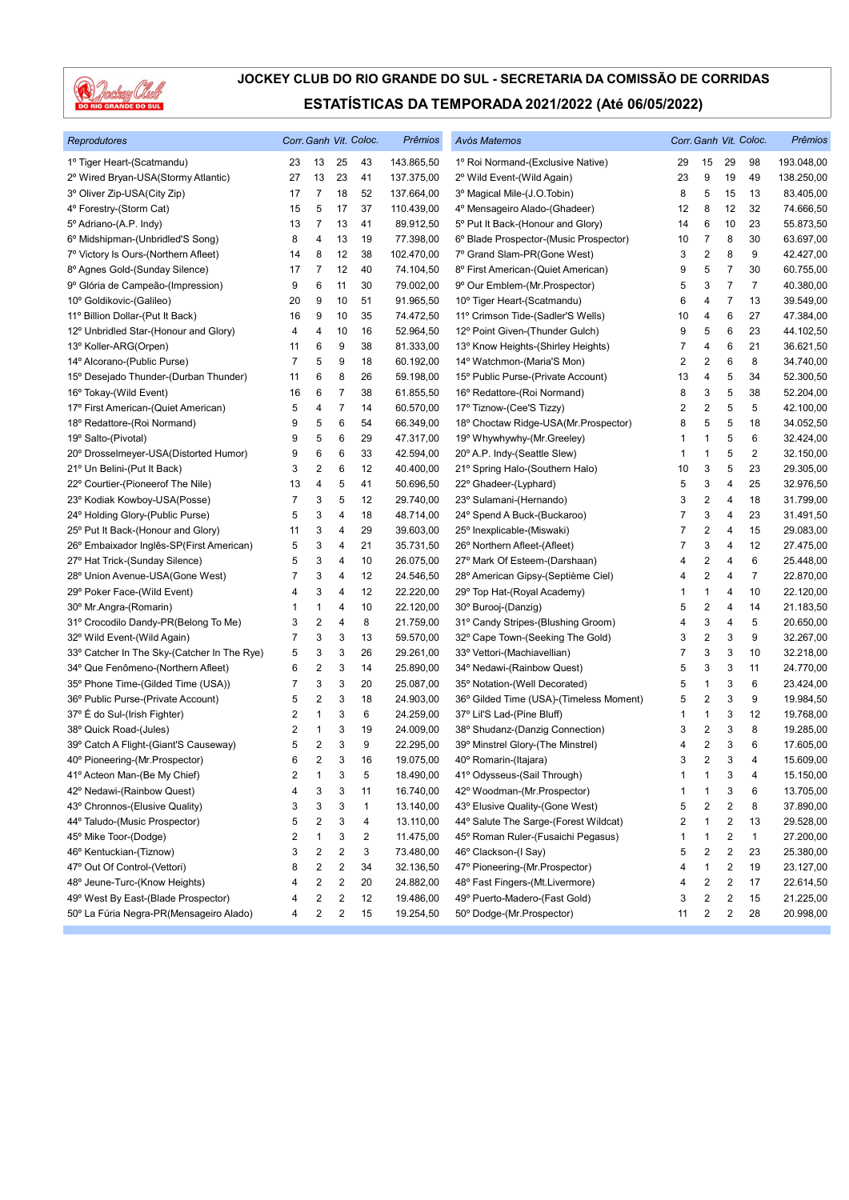

| Reprodutores                                |                |                         |                         | Corr. Ganh Vit. Coloc. | Prêmios    | Avós Maternos                           |    |                         |                         | Corr. Ganh Vit. Coloc. | Prêmios    |
|---------------------------------------------|----------------|-------------------------|-------------------------|------------------------|------------|-----------------------------------------|----|-------------------------|-------------------------|------------------------|------------|
| 1º Tiger Heart-(Scatmandu)                  | 23             | 13                      | 25                      | 43                     | 143.865,50 | 1º Roi Normand-(Exclusive Native)       | 29 | 15                      | 29                      | 98                     | 193.048,00 |
| 2º Wired Bryan-USA(Stormy Atlantic)         | 27             | 13                      | 23                      | 41                     | 137.375,00 | 2º Wild Event-(Wild Again)              | 23 | 9                       | 19                      | 49                     | 138.250,00 |
| 3º Oliver Zip-USA(City Zip)                 | 17             | 7                       | 18                      | 52                     | 137.664,00 | 3º Magical Mile-(J.O.Tobin)             | 8  | 5                       | 15                      | 13                     | 83.405,00  |
| 4° Forestry-(Storm Cat)                     | 15             | 5                       | 17                      | 37                     | 110.439,00 | 4º Mensageiro Alado-(Ghadeer)           | 12 | 8                       | 12                      | 32                     | 74.666,50  |
| 5° Adriano-(A.P. Indy)                      | 13             | 7                       | 13                      | 41                     | 89.912,50  | 5° Put It Back-(Honour and Glory)       | 14 | 6                       | 10                      | 23                     | 55.873,50  |
| 6º Midshipman-(Unbridled'S Song)            | 8              | 4                       | 13                      | 19                     | 77.398,00  | 6° Blade Prospector-(Music Prospector)  | 10 | 7                       | 8                       | 30                     | 63.697,00  |
| 7º Victory Is Ours-(Northern Afleet)        | 14             | 8                       | 12                      | 38                     | 102.470,00 | 7º Grand Slam-PR(Gone West)             | 3  | $\overline{2}$          | 8                       | 9                      | 42.427,00  |
| 8º Agnes Gold-(Sunday Silence)              | 17             | 7                       | 12                      | 40                     | 74.104,50  | 8º First American-(Quiet American)      | 9  | 5                       | 7                       | 30                     | 60.755,00  |
| 9º Glória de Campeão-(Impression)           | 9              | 6                       | 11                      | 30                     | 79.002,00  | 9° Our Emblem-(Mr.Prospector)           | 5  | 3                       | $\overline{7}$          | $\overline{7}$         | 40.380,00  |
| 10° Goldikovic-(Galileo)                    | 20             | 9                       | 10                      | 51                     | 91.965,50  | 10° Tiger Heart-(Scatmandu)             | 6  | 4                       | $\overline{7}$          | 13                     | 39.549,00  |
| 11º Billion Dollar-(Put It Back)            | 16             | 9                       | 10                      | 35                     | 74.472,50  | 11º Crimson Tide-(Sadler'S Wells)       | 10 | 4                       | 6                       | 27                     | 47.384,00  |
| 12º Unbridled Star-(Honour and Glory)       | 4              | 4                       | 10                      | 16                     | 52.964,50  | 12º Point Given-(Thunder Gulch)         | 9  | 5                       | 6                       | 23                     | 44.102,50  |
| 13º Koller-ARG(Orpen)                       | 11             | 6                       | 9                       | 38                     | 81.333,00  | 13° Know Heights-(Shirley Heights)      | 7  | 4                       | 6                       | 21                     | 36.621,50  |
| 14º Alcorano-(Public Purse)                 | $\overline{7}$ | 5                       | 9                       | 18                     | 60.192,00  | 14° Watchmon-(Maria'S Mon)              | 2  | $\overline{c}$          | 6                       | 8                      | 34.740,00  |
| 15° Desejado Thunder-(Durban Thunder)       | 11             | 6                       | 8                       | 26                     | 59.198,00  | 15° Public Purse-(Private Account)      | 13 | 4                       | 5                       | 34                     | 52.300,50  |
| 16° Tokay-(Wild Event)                      | 16             | 6                       | 7                       | 38                     | 61.855,50  | 16° Redattore-(Roi Normand)             | 8  | 3                       | 5                       | 38                     | 52.204,00  |
| 17º First American-(Quiet American)         | 5              | 4                       | $\overline{7}$          | 14                     | 60.570,00  | 17º Tiznow-(Cee'S Tizzy)                | 2  | $\overline{2}$          | 5                       | 5                      | 42.100,00  |
| 18º Redattore-(Roi Normand)                 | 9              | 5                       | 6                       | 54                     | 66.349,00  | 18° Choctaw Ridge-USA(Mr.Prospector)    | 8  | 5                       | 5                       | 18                     | 34.052,50  |
| 19º Salto-(Pivotal)                         | 9              | 5                       | 6                       | 29                     | 47.317,00  | 19° Whywhywhy-(Mr.Greeley)              | 1  | $\mathbf{1}$            | 5                       | 6                      | 32.424,00  |
| 20° Drosselmeyer-USA(Distorted Humor)       | 9              | 6                       | 6                       | 33                     | 42.594,00  | 20° A.P. Indy-(Seattle Slew)            | 1  | 1                       | 5                       | 2                      | 32.150,00  |
| 21º Un Belini-(Put It Back)                 | 3              | 2                       | 6                       | 12                     | 40.400,00  | 21° Spring Halo-(Southern Halo)         | 10 | 3                       | 5                       | 23                     | 29.305,00  |
| 22° Courtier-(Pioneerof The Nile)           | 13             | 4                       | 5                       | 41                     | 50.696,50  | 22° Ghadeer-(Lyphard)                   | 5  | 3                       | 4                       | 25                     | 32.976,50  |
| 23° Kodiak Kowboy-USA(Posse)                | 7              | 3                       | 5                       | 12                     | 29.740,00  | 23° Sulamani-(Hernando)                 | 3  | $\overline{2}$          | 4                       | 18                     | 31.799,00  |
| 24° Holding Glory-(Public Purse)            | 5              | 3                       | 4                       | 18                     | 48.714,00  | 24° Spend A Buck-(Buckaroo)             | 7  | 3                       | 4                       | 23                     | 31.491,50  |
| 25° Put It Back-(Honour and Glory)          | 11             | 3                       | 4                       | 29                     | 39.603,00  | 25° Inexplicable-(Miswaki)              | 7  | $\overline{\mathbf{c}}$ | 4                       | 15                     | 29.083,00  |
| 26° Embaixador Inglês-SP(First American)    | 5              | 3                       | 4                       | 21                     | 35.731,50  | 26° Northern Afleet-(Afleet)            | 7  | 3                       | 4                       | 12                     | 27.475,00  |
| 27º Hat Trick-(Sunday Silence)              | 5              | 3                       | 4                       | 10                     | 26.075,00  | 27º Mark Of Esteem-(Darshaan)           | 4  | $\overline{\mathbf{c}}$ | 4                       | 6                      | 25.448,00  |
| 28° Union Avenue-USA(Gone West)             | 7              | 3                       | 4                       | 12                     | 24.546,50  | 28º American Gipsy-(Septième Ciel)      | 4  | $\overline{\mathbf{c}}$ | 4                       | 7                      | 22.870,00  |
| 29° Poker Face-(Wild Event)                 | 4              | 3                       | 4                       | 12                     | 22.220,00  | 29° Top Hat-(Royal Academy)             | 1  | $\mathbf{1}$            | 4                       | 10                     | 22.120,00  |
| 30° Mr.Angra-(Romarin)                      | 1              | 1                       | 4                       | 10                     | 22.120,00  | 30° Burooj-(Danzig)                     | 5  | $\overline{\mathbf{c}}$ | 4                       | 14                     | 21.183,50  |
| 31º Crocodilo Dandy-PR(Belong To Me)        | 3              | $\overline{\mathbf{c}}$ | 4                       | 8                      | 21.759,00  | 31° Candy Stripes-(Blushing Groom)      | 4  | 3                       | 4                       | 5                      | 20.650,00  |
| 32° Wild Event-(Wild Again)                 | 7              | 3                       | 3                       | 13                     | 59.570,00  | 32° Cape Town-(Seeking The Gold)        | 3  | $\boldsymbol{2}$        | 3                       | 9                      | 32.267,00  |
| 33° Catcher In The Sky-(Catcher In The Rye) | 5              | 3                       | 3                       | 26                     | 29.261,00  | 33º Vettori-(Machiavellian)             | 7  | 3                       | 3                       | 10                     | 32.218,00  |
| 34° Que Fenômeno-(Northern Afleet)          | 6              | $\overline{\mathbf{c}}$ | 3                       | 14                     | 25.890,00  | 34° Nedawi-(Rainbow Quest)              | 5  | 3                       | 3                       | 11                     | 24.770,00  |
| 35° Phone Time-(Gilded Time (USA))          | 7              | 3                       | 3                       | 20                     | 25.087,00  | 35° Notation-(Well Decorated)           | 5  | $\mathbf{1}$            | 3                       | 6                      | 23.424,00  |
| 36° Public Purse-(Private Account)          | 5              | 2                       | 3                       | 18                     | 24.903,00  | 36° Gilded Time (USA)-(Timeless Moment) | 5  | $\overline{\mathbf{c}}$ | 3                       | 9                      | 19.984,50  |
| 37° É do Sul-(Irish Fighter)                | 2              | 1                       | 3                       | 6                      | 24.259,00  | 37° Lil'S Lad-(Pine Bluff)              | 1  | $\mathbf{1}$            | 3                       | 12                     | 19.768,00  |
| 38° Quick Road-(Jules)                      | 2              | 1                       | 3                       | 19                     | 24.009,00  | 38° Shudanz-(Danzig Connection)         | 3  | $\overline{\mathbf{c}}$ | 3                       | 8                      | 19.285,00  |
| 39° Catch A Flight-(Giant'S Causeway)       | 5              | 2                       | 3                       | 9                      | 22.295,00  | 39° Minstrel Glory-(The Minstrel)       | 4  | $\overline{\mathbf{c}}$ | 3                       | 6                      | 17.605,00  |
| 40° Pioneering-(Mr.Prospector)              | 6              | 2                       | 3                       | 16                     | 19.075,00  | 40° Romarin-(Itajara)                   | 3  | 2                       | 3                       | 4                      | 15.609,00  |
| 41º Acteon Man-(Be My Chief)                | 2              | 1                       | 3                       | 5                      | 18.490,00  | 41º Odysseus-(Sail Through)             | 1  | $\mathbf{1}$            | 3                       | 4                      | 15.150,00  |
| 42° Nedawi-(Rainbow Quest)                  | 4              | 3                       | 3                       | 11                     | 16.740,00  | 42° Woodman-(Mr.Prospector)             | 1  | 1                       | 3                       | 6                      | 13.705,00  |
| 43° Chronnos-(Elusive Quality)              | 3              | 3                       | 3                       | $\mathbf{1}$           | 13.140,00  | 43° Elusive Quality-(Gone West)         | 5  | $\overline{\mathbf{c}}$ | 2                       | 8                      | 37.890,00  |
| 44° Taludo-(Music Prospector)               | 5              | 2                       | 3                       | 4                      | 13.110,00  | 44° Salute The Sarge-(Forest Wildcat)   | 2  | 1                       | 2                       | 13                     | 29.528,00  |
| 45° Mike Toor-(Dodge)                       | 2              | 1                       | 3                       | 2                      | 11.475,00  | 45° Roman Ruler-(Fusaichi Pegasus)      | 1  | 1                       | 2                       | $\mathbf{1}$           | 27.200,00  |
| 46° Kentuckian-(Tiznow)                     | 3              | 2                       | 2                       | 3                      | 73.480,00  | 46° Clackson-(I Say)                    | 5  | $\overline{\mathbf{c}}$ | $\overline{c}$          | 23                     | 25.380,00  |
| 47° Out Of Control-(Vettori)                | 8              | 2                       | $\boldsymbol{2}$        | 34                     | 32.136,50  | 47º Pioneering-(Mr.Prospector)          | 4  | 1                       | 2                       | 19                     | 23.127,00  |
| 48° Jeune-Turc-(Know Heights)               | 4              | 2                       | 2                       | 20                     | 24.882,00  | 48° Fast Fingers-(Mt.Livermore)         | 4  | 2                       | $\overline{\mathbf{c}}$ | 17                     | 22.614,50  |
| 49° West By East-(Blade Prospector)         | 4              | 2                       | 2                       | 12                     | 19.486,00  | 49° Puerto-Madero-(Fast Gold)           | 3  | 2                       | 2                       | 15                     | 21.225,00  |
| 50º La Fúria Negra-PR(Mensageiro Alado)     | 4              | 2                       | $\overline{\mathbf{c}}$ | 15                     | 19.254,50  | 50° Dodge-(Mr.Prospector)               | 11 | $\overline{\mathbf{c}}$ | $\overline{\mathbf{c}}$ | 28                     | 20.998,00  |
|                                             |                |                         |                         |                        |            |                                         |    |                         |                         |                        |            |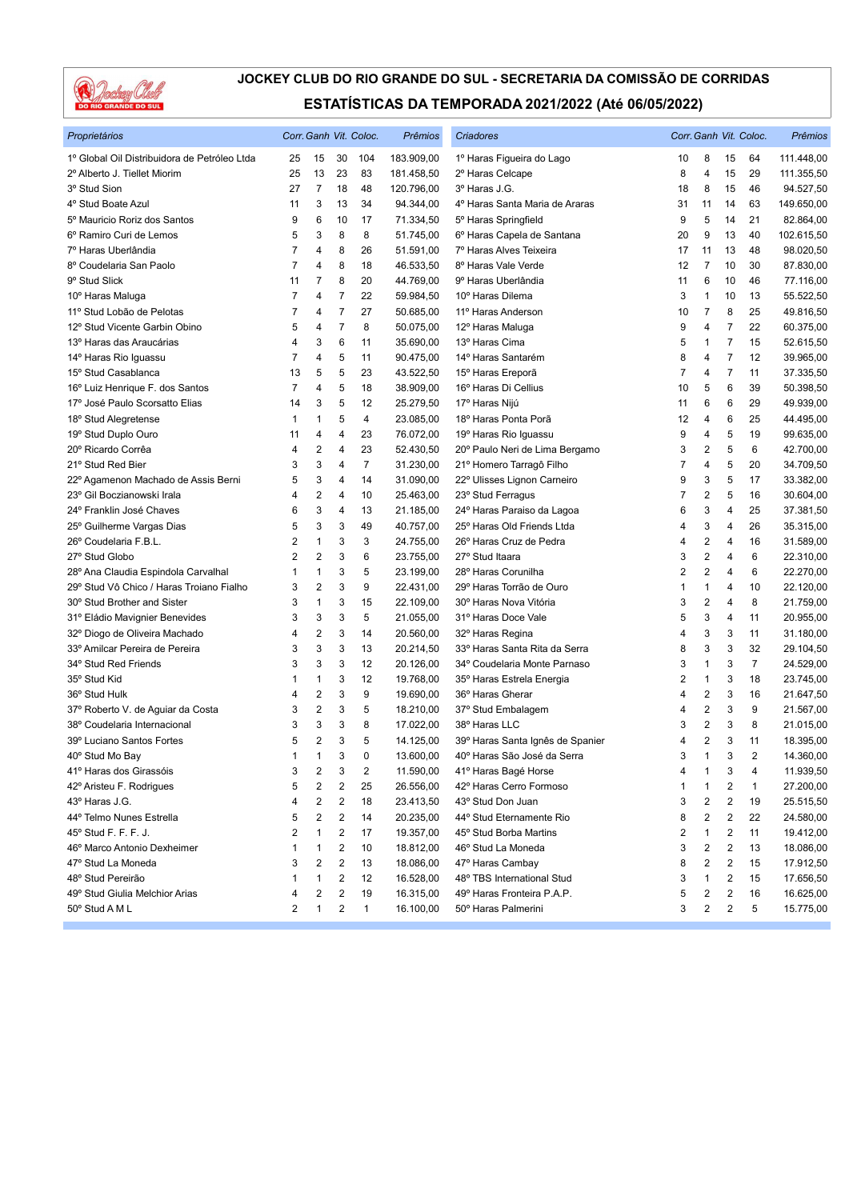

| Proprietários                                | Corr. Ganh Vit. Coloc. |                         |                         |                | Prêmios    | Criadores                        |                |                         |    | Corr. Ganh Vit. Coloc. | Prêmios    |
|----------------------------------------------|------------------------|-------------------------|-------------------------|----------------|------------|----------------------------------|----------------|-------------------------|----|------------------------|------------|
| 1º Global Oil Distribuidora de Petróleo Ltda | 25                     | 15                      | 30                      | 104            | 183.909,00 | 1º Haras Figueira do Lago        | 10             | 8                       | 15 | 64                     | 111.448,00 |
| 2º Alberto J. Tiellet Miorim                 | 25                     | 13                      | 23                      | 83             | 181.458,50 | 2º Haras Celcape                 | 8              | 4                       | 15 | 29                     | 111.355,50 |
| 3º Stud Sion                                 | 27                     | $\overline{7}$          | 18                      | 48             | 120.796,00 | 3º Haras J.G.                    | 18             | 8                       | 15 | 46                     | 94.527,50  |
| 4° Stud Boate Azul                           | 11                     | 3                       | 13                      | 34             | 94.344,00  | 4º Haras Santa Maria de Araras   | 31             | 11                      | 14 | 63                     | 149.650,00 |
| 5º Mauricio Roriz dos Santos                 | 9                      | 6                       | 10                      | 17             | 71.334,50  | 5° Haras Springfield             | 9              | 5                       | 14 | 21                     | 82.864,00  |
| 6º Ramiro Curi de Lemos                      | 5                      | 3                       | 8                       | 8              | 51.745,00  | 6º Haras Capela de Santana       | 20             | 9                       | 13 | 40                     | 102.615,50 |
| 7º Haras Uberlândia                          | $\overline{7}$         | 4                       | 8                       | 26             | 51.591,00  | 7º Haras Alves Teixeira          | 17             | 11                      | 13 | 48                     | 98.020,50  |
| 8º Coudelaria San Paolo                      | 7                      | 4                       | 8                       | 18             | 46.533,50  | 8º Haras Vale Verde              | 12             | $\overline{7}$          | 10 | 30                     | 87.830,00  |
| 9° Stud Slick                                | 11                     | 7                       | 8                       | 20             | 44.769,00  | 9º Haras Uberlândia              | 11             | 6                       | 10 | 46                     | 77.116,00  |
| 10° Haras Maluga                             | $\overline{7}$         | 4                       | $\overline{7}$          | 22             | 59.984,50  | 10° Haras Dilema                 | 3              | $\mathbf{1}$            | 10 | 13                     | 55.522,50  |
| 11º Stud Lobão de Pelotas                    | 7                      | 4                       | $\overline{7}$          | 27             | 50.685,00  | 11º Haras Anderson               | 10             | 7                       | 8  | 25                     | 49.816,50  |
| 12º Stud Vicente Garbin Obino                | 5                      | 4                       | $\overline{7}$          | 8              | 50.075,00  | 12º Haras Maluga                 | 9              | $\overline{4}$          | 7  | 22                     | 60.375,00  |
| 13º Haras das Araucárias                     | 4                      | 3                       | 6                       | 11             | 35.690,00  | 13º Haras Cima                   | 5              | 1                       | 7  | 15                     | 52.615,50  |
| 14° Haras Rio Iguassu                        | 7                      | 4                       | 5                       | 11             | 90.475,00  | 14º Haras Santarém               | 8              | 4                       | 7  | 12                     | 39.965,00  |
| 15° Stud Casablanca                          | 13                     | 5                       | 5                       | 23             | 43.522,50  | 15° Haras Ereporã                | 7              | 4                       | 7  | 11                     | 37.335,50  |
| 16° Luiz Henrique F. dos Santos              | $\overline{7}$         | 4                       | 5                       | 18             | 38.909,00  | 16° Haras Di Cellius             | 10             | 5                       | 6  | 39                     | 50.398,50  |
| 17º José Paulo Scorsatto Elias               | 14                     | 3                       | 5                       | 12             | 25.279,50  | 17º Haras Nijú                   | 11             | 6                       | 6  | 29                     | 49.939,00  |
| 18° Stud Alegretense                         | 1                      | 1                       | 5                       | 4              | 23.085,00  | 18º Haras Ponta Porã             | 12             | 4                       | 6  | 25                     | 44.495,00  |
| 19° Stud Duplo Ouro                          | 11                     | 4                       | 4                       | 23             | 76.072,00  | 19° Haras Rio Iguassu            | 9              | 4                       | 5  | 19                     | 99.635,00  |
| 20° Ricardo Corrêa                           | 4                      | 2                       | 4                       | 23             | 52.430,50  | 20° Paulo Neri de Lima Bergamo   | 3              | $\overline{\mathbf{c}}$ | 5  | 6                      | 42.700,00  |
| 21º Stud Red Bier                            | 3                      | 3                       | 4                       | $\overline{7}$ | 31.230,00  | 21º Homero Tarragô Filho         | 7              | $\overline{4}$          | 5  | 20                     | 34.709,50  |
| 22º Agamenon Machado de Assis Berni          | 5                      | 3                       | 4                       | 14             | 31.090,00  | 22º Ulisses Lignon Carneiro      | 9              | 3                       | 5  | 17                     | 33.382,00  |
| 23° Gil Boczianowski Irala                   | 4                      | 2                       | 4                       | 10             | 25.463,00  | 23° Stud Ferragus                | 7              | 2                       | 5  | 16                     | 30.604,00  |
| 24º Franklin José Chaves                     | 6                      | 3                       | 4                       | 13             | 21.185,00  | 24º Haras Paraiso da Lagoa       | 6              | 3                       | 4  | 25                     | 37.381,50  |
| 25° Guilherme Vargas Dias                    | 5                      | 3                       | 3                       | 49             | 40.757,00  | 25° Haras Old Friends Ltda       | 4              | 3                       | 4  | 26                     | 35.315,00  |
| 26° Coudelaria F.B.L.                        | 2                      | 1                       | 3                       | 3              | 24.755,00  | 26° Haras Cruz de Pedra          | 4              | $\sqrt{2}$              | 4  | 16                     | 31.589,00  |
| 27º Stud Globo                               | 2                      | 2                       | 3                       | 6              | 23.755,00  | 27° Stud Itaara                  | 3              | $\overline{2}$          | 4  | 6                      | 22.310,00  |
| 28º Ana Claudia Espindola Carvalhal          | 1                      | 1                       | 3                       | 5              | 23.199,00  | 28° Haras Corunilha              | $\overline{2}$ | $\overline{2}$          | 4  | 6                      | 22.270,00  |
| 29° Stud Vô Chico / Haras Troiano Fialho     | 3                      | 2                       | 3                       | 9              | 22.431,00  | 29º Haras Torrão de Ouro         | 1              | 1                       | 4  | 10                     | 22.120,00  |
| 30° Stud Brother and Sister                  | 3                      | 1                       | 3                       | 15             | 22.109,00  | 30° Haras Nova Vitória           | 3              | $\overline{\mathbf{c}}$ | 4  | 8                      | 21.759,00  |
| 31º Eládio Mavignier Benevides               | 3                      | 3                       | 3                       | 5              | 21.055,00  | 31º Haras Doce Vale              | 5              | 3                       | 4  | 11                     | 20.955,00  |
| 32º Diogo de Oliveira Machado                | 4                      | 2                       | 3                       | 14             | 20.560,00  | 32º Haras Regina                 | 4              | 3                       | 3  | 11                     | 31.180,00  |
| 33º Amilcar Pereira de Pereira               | 3                      | 3                       | 3                       | 13             | 20.214,50  | 33º Haras Santa Rita da Serra    | 8              | 3                       | 3  | 32                     | 29.104,50  |
| 34° Stud Red Friends                         | 3                      | 3                       | 3                       | 12             | 20.126,00  | 34° Coudelaria Monte Parnaso     | 3              | $\mathbf{1}$            | 3  | $\overline{7}$         | 24.529,00  |
| 35° Stud Kid                                 | 1                      | 1                       | 3                       | 12             | 19.768,00  | 35° Haras Estrela Energia        | 2              | 1                       | 3  | 18                     | 23.745,00  |
| 36° Stud Hulk                                | 4                      | 2                       | 3                       | 9              | 19.690,00  | 36° Haras Gherar                 | 4              | $\overline{2}$          | 3  | 16                     | 21.647,50  |
| 37º Roberto V. de Aguiar da Costa            | 3                      | 2                       | 3                       | 5              | 18.210,00  | 37° Stud Embalagem               | 4              | $\sqrt{2}$              | 3  | 9                      | 21.567,00  |
| 38° Coudelaria Internacional                 | 3                      | 3                       | 3                       | 8              | 17.022,00  | 38º Haras LLC                    | 3              | $\sqrt{2}$              | 3  | 8                      | 21.015,00  |
| 39º Luciano Santos Fortes                    | 5                      | 2                       | 3                       | 5              | 14.125,00  | 39º Haras Santa Ignês de Spanier | 4              | $\overline{2}$          | 3  | 11                     | 18.395,00  |
| 40° Stud Mo Bay                              | $\mathbf{1}$           | 1                       | 3                       | 0              | 13.600,00  | 40° Haras São José da Serra      | 3              | $\mathbf{1}$            | 3  | $\overline{2}$         | 14.360.00  |
| 41º Haras dos Girassóis                      | 3                      | 2                       | 3                       | 2              | 11.590,00  | 41º Haras Bagé Horse             | 4              | 1                       | 3  | 4                      | 11.939,50  |
| 42º Aristeu F. Rodrigues                     | 5                      | 2                       | 2                       | 25             | 26.556,00  | 42º Haras Cerro Formoso          | 1              | 1                       | 2  | $\mathbf{1}$           | 27.200,00  |
| 43º Haras J.G.                               | 4                      | 2                       | 2                       | 18             | 23.413,50  | 43° Stud Don Juan                | 3              | $\overline{\mathbf{c}}$ | 2  | 19                     | 25.515,50  |
| 44º Telmo Nunes Estrella                     | 5                      | $\overline{\mathbf{c}}$ | $\overline{\mathbf{c}}$ | 14             | 20.235,00  | 44° Stud Eternamente Rio         | 8              | $\overline{\mathbf{c}}$ | 2  | 22                     | 24.580,00  |
| 45° Stud F. F. F. J.                         | 2                      | 1                       | 2                       | 17             | 19.357,00  | 45° Stud Borba Martins           | 2              | 1                       | 2  | 11                     | 19.412,00  |
| 46° Marco Antonio Dexheimer                  | 1                      | 1                       | 2                       | 10             | 18.812,00  | 46° Stud La Moneda               | 3              | 2                       | 2  | 13                     | 18.086,00  |
| 47° Stud La Moneda                           | 3                      | 2                       | $\overline{c}$          | 13             | 18.086,00  | 47º Haras Cambay                 | 8              | $\overline{\mathbf{c}}$ | 2  | 15                     | 17.912,50  |
| 48° Stud Pereirão                            | 1                      | 1                       | 2                       | 12             | 16.528,00  | 48° TBS International Stud       | 3              | 1                       | 2  | 15                     | 17.656,50  |
| 49° Stud Giulia Melchior Arias               | 4                      | 2                       | 2                       | 19             | 16.315,00  | 49° Haras Fronteira P.A.P.       | 5              | 2                       | 2  | 16                     | 16.625,00  |
| 50° Stud A M L                               | 2                      | 1                       | 2                       | 1              | 16.100,00  | 50° Haras Palmerini              | 3              | $\overline{c}$          | 2  | 5                      | 15.775,00  |
|                                              |                        |                         |                         |                |            |                                  |                |                         |    |                        |            |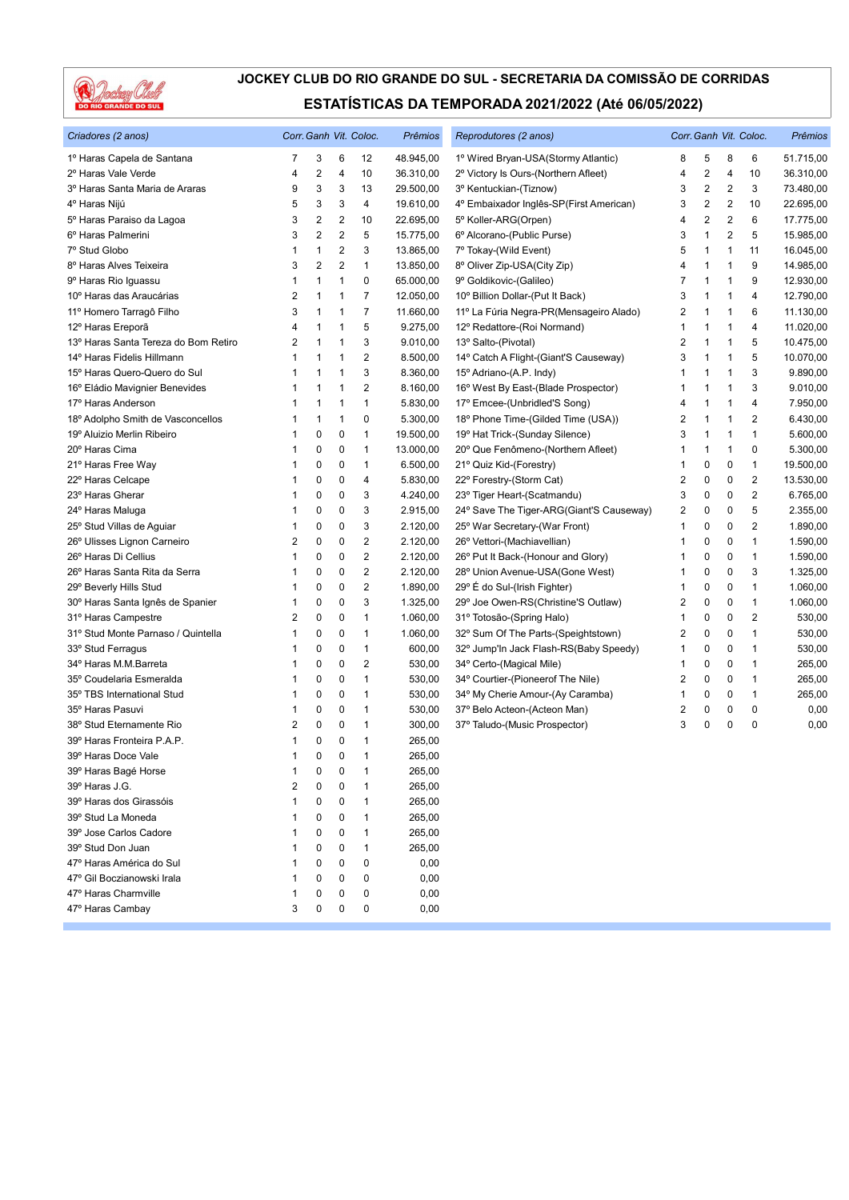

| Criadores (2 anos)                   |                | Corr. Ganh Vit. Coloc. |                |                | Prêmios   | Reprodutores (2 anos)                    |                | Corr. Ganh Vit. Coloc. | Prêmios        |                |           |
|--------------------------------------|----------------|------------------------|----------------|----------------|-----------|------------------------------------------|----------------|------------------------|----------------|----------------|-----------|
| 1º Haras Capela de Santana           | 7              | 3                      | 6              | 12             | 48.945,00 | 1º Wired Bryan-USA(Stormy Atlantic)      | 8              | 5                      | 8              | 6              | 51.715,00 |
| 2º Haras Vale Verde                  | 4              | $\sqrt{2}$             | 4              | 10             | 36.310,00 | 2º Victory Is Ours-(Northern Afleet)     | 4              | 2                      | $\overline{4}$ | 10             | 36.310,00 |
| 3º Haras Santa Maria de Araras       | 9              | 3                      | 3              | 13             | 29.500,00 | 3º Kentuckian-(Tiznow)                   | 3              | 2                      | $\overline{2}$ | 3              | 73.480,00 |
| 4º Haras Nijú                        | 5              | 3                      | 3              | 4              | 19.610,00 | 4º Embaixador Inglês-SP(First American)  | 3              | 2                      | 2              | 10             | 22.695,00 |
| 5º Haras Paraiso da Lagoa            | 3              | 2                      | 2              | 10             | 22.695,00 | 5º Koller-ARG(Orpen)                     | $\overline{4}$ | 2                      | 2              | 6              | 17.775,00 |
| 6º Haras Palmerini                   | 3              | $\overline{2}$         | $\overline{2}$ | 5              | 15.775,00 | 6º Alcorano-(Public Purse)               | 3              | 1                      | 2              | 5              | 15.985,00 |
| 7º Stud Globo                        | 1              | $\mathbf{1}$           | $\overline{2}$ | 3              | 13.865,00 | 7º Tokay-(Wild Event)                    | 5              | 1                      | 1              | 11             | 16.045,00 |
| 8º Haras Alves Teixeira              | 3              | $\overline{2}$         | $\overline{2}$ | 1              | 13.850,00 | 8° Oliver Zip-USA(City Zip)              | 4              | 1                      | 1              | 9              | 14.985,00 |
| 9º Haras Rio Iguassu                 | 1              | 1                      | 1              | 0              | 65.000,00 | 9° Goldikovic-(Galileo)                  | $\overline{7}$ | 1                      | 1              | 9              | 12.930,00 |
| 10° Haras das Araucárias             | 2              | $\mathbf{1}$           | 1              | 7              | 12.050,00 | 10° Billion Dollar-(Put It Back)         | 3              | 1                      | 1              | 4              | 12.790,00 |
| 11º Homero Tarragô Filho             | 3              | $\mathbf{1}$           | 1              | $\overline{7}$ | 11.660,00 | 11º La Fúria Negra-PR(Mensageiro Alado)  | 2              | 1                      | $\mathbf 1$    | 6              | 11.130,00 |
| 12º Haras Ereporã                    | 4              | $\mathbf{1}$           | 1              | 5              | 9.275,00  | 12º Redattore-(Roi Normand)              | 1              | 1                      | 1              | 4              | 11.020,00 |
| 13º Haras Santa Tereza do Bom Retiro | $\overline{2}$ | $\mathbf{1}$           | 1              | 3              | 9.010,00  | 13° Salto-(Pivotal)                      | $\overline{2}$ | 1                      | 1              | 5              | 10.475,00 |
| 14º Haras Fidelis Hillmann           | 1              | $\mathbf{1}$           | 1              | 2              | 8.500,00  | 14° Catch A Flight-(Giant'S Causeway)    | 3              | 1                      | 1              | 5              | 10.070,00 |
| 15° Haras Quero-Quero do Sul         | 1              | $\mathbf{1}$           | 1              | 3              | 8.360,00  | 15° Adriano-(A.P. Indy)                  | 1              | 1                      | 1              | 3              | 9.890,00  |
| 16° Eládio Mavignier Benevides       | 1              | $\mathbf{1}$           | 1              | 2              | 8.160,00  | 16° West By East-(Blade Prospector)      | 1              | 1                      | 1              | 3              | 9.010,00  |
| 17º Haras Anderson                   | 1              | $\mathbf{1}$           | 1              | 1              | 5.830,00  | 17º Emcee-(Unbridled'S Song)             | $\overline{4}$ | 1                      | 1              | $\overline{4}$ | 7.950,00  |
| 18º Adolpho Smith de Vasconcellos    | 1              | $\mathbf{1}$           | 1              | 0              | 5.300,00  | 18° Phone Time-(Gilded Time (USA))       | $\overline{2}$ | 1                      | 1              | $\overline{2}$ | 6.430,00  |
| 19º Aluizio Merlin Ribeiro           |                | $\mathbf 0$            | 0              | 1              | 19.500,00 | 19º Hat Trick-(Sunday Silence)           | 3              | 1                      | 1              | $\mathbf{1}$   | 5.600,00  |
| 20° Haras Cima                       | 1              | 0                      | 0              | 1              | 13.000,00 | 20° Que Fenômeno-(Northern Afleet)       | 1              | 1                      | $\mathbf 1$    | $\mathbf 0$    | 5.300,00  |
| 21º Haras Free Way                   | 1              | 0                      | 0              | 1              | 6.500,00  | 21° Quiz Kid-(Forestry)                  | 1              | 0                      | 0              | 1              | 19.500,00 |
| 22º Haras Celcape                    | 1              | 0                      | 0              | 4              | 5.830,00  | 22° Forestry-(Storm Cat)                 | 2              | 0                      | 0              | $\overline{2}$ | 13.530,00 |
| 23º Haras Gherar                     | 1              | 0                      | 0              | 3              | 4.240,00  | 23° Tiger Heart-(Scatmandu)              | 3              | 0                      | 0              | $\overline{2}$ | 6.765,00  |
| 24° Haras Maluga                     |                | 0                      | 0              | 3              | 2.915,00  | 24° Save The Tiger-ARG(Giant'S Causeway) | 2              | 0                      | 0              | 5              | 2.355,00  |
| 25° Stud Villas de Aguiar            | 1              | $\mathbf 0$            | 0              | 3              | 2.120,00  | 25° War Secretary-(War Front)            | 1              | 0                      | 0              | $\overline{2}$ | 1.890,00  |
| 26° Ulisses Lignon Carneiro          | 2              | 0                      | 0              | 2              | 2.120,00  | 26° Vettori-(Machiavellian)              | 1              | 0                      | 0              | $\mathbf{1}$   | 1.590,00  |
| 26° Haras Di Cellius                 | 1              | 0                      | 0              | 2              | 2.120,00  | 26° Put It Back-(Honour and Glory)       | 1              | 0                      | 0              | $\mathbf{1}$   | 1.590,00  |
| 26° Haras Santa Rita da Serra        | 1              | 0                      | 0              | $\overline{2}$ | 2.120,00  | 28° Union Avenue-USA(Gone West)          | 1              | 0                      | 0              | 3              | 1.325,00  |
| 29° Beverly Hills Stud               | 1              | 0                      | 0              | 2              | 1.890,00  | 29° É do Sul-(Irish Fighter)             | 1              | 0                      | 0              | $\mathbf{1}$   | 1.060,00  |
| 30° Haras Santa Ignês de Spanier     | 1              | $\mathbf 0$            | 0              | 3              | 1.325,00  | 29° Joe Owen-RS(Christine'S Outlaw)      | $\overline{2}$ | 0                      | $\mathbf 0$    | $\mathbf{1}$   | 1.060,00  |
| 31º Haras Campestre                  | 2              | $\mathbf 0$            | 0              | 1              | 1.060,00  | 31º Totosão-(Spring Halo)                | 1              | 0                      | 0              | $\overline{2}$ | 530,00    |
| 31º Stud Monte Parnaso / Quintella   | 1              | 0                      | 0              | 1              | 1.060,00  | 32º Sum Of The Parts-(Speightstown)      | 2              | 0                      | 0              | $\mathbf{1}$   | 530,00    |
| 33° Stud Ferragus                    | 1              | 0                      | 0              | 1              | 600,00    | 32° Jump'In Jack Flash-RS(Baby Speedy)   | 1              | 0                      | 0              | 1              | 530,00    |
| 34º Haras M.M.Barreta                | 1              | 0                      | 0              | 2              | 530,00    | 34° Certo-(Magical Mile)                 | 1              | 0                      | 0              | $\mathbf{1}$   | 265,00    |
| 35° Coudelaria Esmeralda             | 1              | 0                      | 0              | 1              | 530,00    | 34° Courtier-(Pioneerof The Nile)        | 2              | 0                      | 0              | $\mathbf{1}$   | 265,00    |
| 35° TBS International Stud           |                | $\mathbf 0$            | 0              | 1              | 530,00    | 34° My Cherie Amour-(Ay Caramba)         | 1              | 0                      | 0              | $\mathbf{1}$   | 265,00    |
| 35° Haras Pasuvi                     | 1              | 0                      | 0              | 1              | 530,00    | 37º Belo Acteon-(Acteon Man)             | 2              | 0                      | 0              | 0              | 0,00      |
| 38° Stud Eternamente Rio             | 2              | 0                      | 0              | 1              | 300,00    | 37º Taludo-(Music Prospector)            | 3              | 0                      | $\mathbf 0$    | 0              | 0,00      |
| 39° Haras Fronteira P.A.P.           | 1              | 0                      | 0              | 1              | 265,00    |                                          |                |                        |                |                |           |
| 39° Haras Doce Vale                  | 1              | 0                      | 0              | 1              | 265,00    |                                          |                |                        |                |                |           |
| 39º Haras Bagé Horse                 | 1              | $\mathbf 0$            | 0              | 1              | 265,00    |                                          |                |                        |                |                |           |
| 39° Haras J.G.                       | 2              | 0                      | 0              | 1              | 265,00    |                                          |                |                        |                |                |           |
| 39º Haras dos Girassóis              |                | 0                      | 0              | 1              | 265,00    |                                          |                |                        |                |                |           |
| 39° Stud La Moneda                   | 1              | $\mathbf 0$            | 0              | 1              | 265,00    |                                          |                |                        |                |                |           |
| 39° Jose Carlos Cadore               |                | $\mathbf 0$            | 0              | 1              | 265,00    |                                          |                |                        |                |                |           |
| 39° Stud Don Juan                    |                | $\mathbf 0$            | 0              | 1              | 265,00    |                                          |                |                        |                |                |           |
| 47º Haras América do Sul             |                | $\mathbf 0$            | 0              | 0              | 0,00      |                                          |                |                        |                |                |           |
| 47º Gil Boczianowski Irala           |                | 0                      | 0              | 0              | 0,00      |                                          |                |                        |                |                |           |
| 47º Haras Charmville                 | 1              | 0                      | 0              | 0              | 0,00      |                                          |                |                        |                |                |           |
| 47º Haras Cambay                     | 3              | 0                      | 0              | 0              | 0,00      |                                          |                |                        |                |                |           |
|                                      |                |                        |                |                |           |                                          |                |                        |                |                |           |